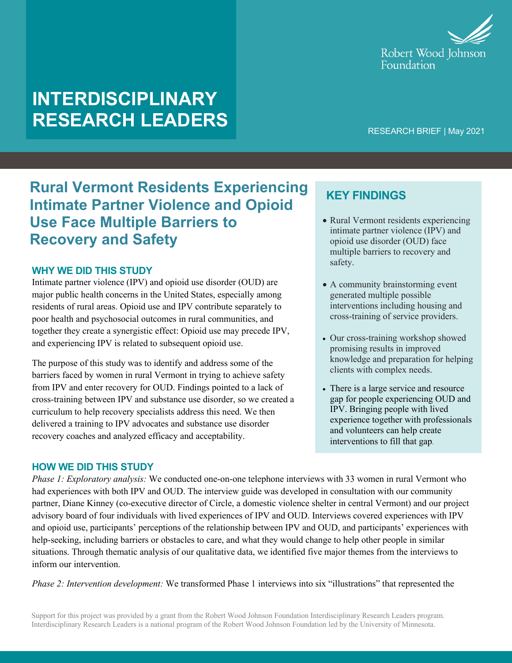

# **INTERDISCIPLINARY RESEARCH LEADERS**

RESEARCH BRIEF | May 2021

### **Rural Vermont Residents Experiencing Intimate Partner Violence and Opioid Use Face Multiple Barriers to Recovery and Safety**

#### **WHY WE DID THIS STUDY**

Intimate partner violence (IPV) and opioid use disorder (OUD) are major public health concerns in the United States, especially among residents of rural areas. Opioid use and IPV contribute separately to poor health and psychosocial outcomes in rural communities, and together they create a synergistic effect: Opioid use may precede IPV, and experiencing IPV is related to subsequent opioid use.

The purpose of this study was to identify and address some of the barriers faced by women in rural Vermont in trying to achieve safety from IPV and enter recovery for OUD. Findings pointed to a lack of cross-training between IPV and substance use disorder, so we created a curriculum to help recovery specialists address this need. We then delivered a training to IPV advocates and substance use disorder recovery coaches and analyzed efficacy and acceptability.

### **KEY FINDINGS**

- Rural Vermont residents experiencing intimate partner violence (IPV) and opioid use disorder (OUD) face multiple barriers to recovery and safety.
- A community brainstorming event generated multiple possible interventions including housing and cross-training of service providers.
- Our cross-training workshop showed promising results in improved knowledge and preparation for helping clients with complex needs.
- There is a large service and resource gap for people experiencing OUD and IPV. Bringing people with lived experience together with professionals and volunteers can help create interventions to fill that gap.

#### **HOW WE DID THIS STUDY**

*Phase 1: Exploratory analysis:* We conducted one-on-one telephone interviews with 33 women in rural Vermont who had experiences with both IPV and OUD. The interview guide was developed in consultation with our community partner, Diane Kinney (co-executive director of Circle, a domestic violence shelter in central Vermont) and our project advisory board of four individuals with lived experiences of IPV and OUD. Interviews covered experiences with IPV and opioid use, participants' perceptions of the relationship between IPV and OUD, and participants' experiences with help-seeking, including barriers or obstacles to care, and what they would change to help other people in similar situations. Through thematic analysis of our qualitative data, we identified five major themes from the interviews to inform our intervention.

*Phase 2: Intervention development:* We transformed Phase 1 interviews into six "illustrations" that represented the

Support for this project was provided by a grant from the Robert Wood Johnson Foundation Interdisciplinary Research Leaders program. Interdisciplinary Research Leaders is a national program of the Robert Wood Johnson Foundation led by the University of Minnesota.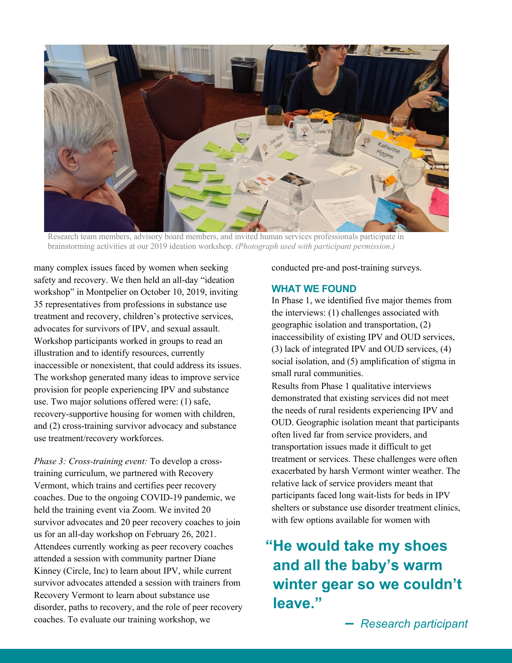

Research team members, advisory board members, and invited human services professionals participate in brainstorming activities at our 2019 ideation workshop. *(Photograph used with participant permission.)*

many complex issues faced by women when seeking safety and recovery. We then held an all-day "ideation workshop" in Montpelier on October 10, 2019, inviting 35 representatives from professions in substance use treatment and recovery, children's protective services, advocates for survivors of IPV, and sexual assault. Workshop participants worked in groups to read an illustration and to identify resources, currently inaccessible or nonexistent, that could address its issues. The workshop generated many ideas to improve service provision for people experiencing IPV and substance use. Two major solutions offered were: (1) safe, recovery-supportive housing for women with children, and (2) cross-training survivor advocacy and substance use treatment/recovery workforces.

*Phase 3: Cross-training event:* To develop a crosstraining curriculum, we partnered with Recovery Vermont, which trains and certifies peer recovery coaches. Due to the ongoing COVID-19 pandemic, we held the training event via Zoom. We invited 20 survivor advocates and 20 peer recovery coaches to join us for an all-day workshop on February 26, 2021. Attendees currently working as peer recovery coaches attended a session with community partner Diane Kinney (Circle, Inc) to learn about IPV, while current survivor advocates attended a session with trainers from Recovery Vermont to learn about substance use disorder, paths to recovery, and the role of peer recovery coaches. To evaluate our training workshop, we

conducted pre-and post-training surveys.

#### **WHAT WE FOUND**

In Phase 1, we identified five major themes from the interviews: (1) challenges associated with geographic isolation and transportation, (2) inaccessibility of existing IPV and OUD services, (3) lack of integrated IPV and OUD services, (4) social isolation, and (5) amplification of stigma in small rural communities.

Results from Phase 1 qualitative interviews demonstrated that existing services did not meet the needs of rural residents experiencing IPV and OUD. Geographic isolation meant that participants often lived far from service providers, and transportation issues made it difficult to get treatment or services. These challenges were often exacerbated by harsh Vermont winter weather. The relative lack of service providers meant that participants faced long wait-lists for beds in IPV shelters or substance use disorder treatment clinics, with few options available for women with

## **"He would take my shoes and all the baby's warm winter gear so we couldn't leave."**

**–** *Research participant*